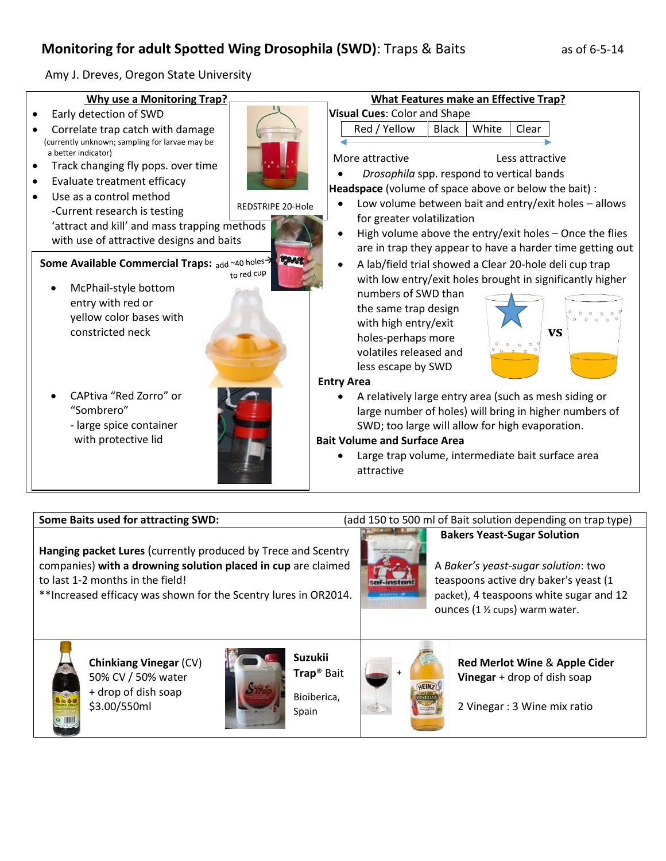## **Monitoring for adult Spotted Wing Drosophila (SWD)**: Traps & Baits as of 6-5-14

Amy J. Dreves, Oregon State University



## **Some Baits used for attracting SWD:** (add 150 to 500 ml of Bait solution depending on trap type)

**Hanging packet Lures** (currently produced by Trece and Scentry companies) **with a drowning solution placed in cup** are claimed to last 1-2 months in the field!

\*\*Increased efficacy was shown for the Scentry lures in OR2014.



## **Bakers Yeast-Sugar Solution**

A *Baker's yeast-sugar solution*: two teaspoons active dry baker's yeast (1 packet), 4 teaspoons white sugar and 12 ounces (1 ½ cups) warm water.



**Chinkiang Vinegar** (CV) 50% CV / 50% water + drop of dish soap \$3.00/550ml



Bioiberica, Spain



**Red Merlot Wine** & **Apple Cider Vinegar** + drop of dish soap

2 Vinegar : 3 Wine mix ratio